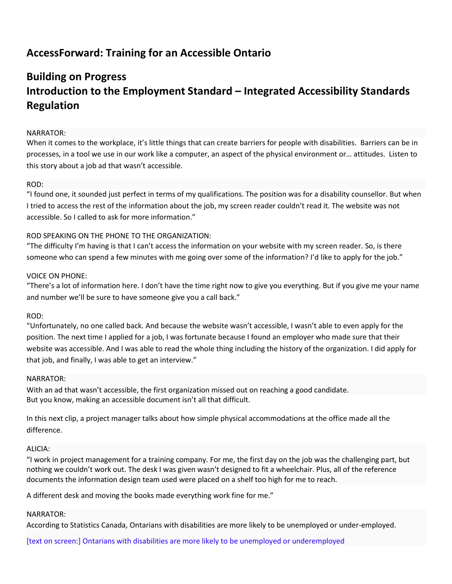# **AccessForward: Training for an Accessible Ontario**

# **Building on Progress Introduction to the Employment Standard – Integrated Accessibility Standards Regulation**

# NARRATOR:

When it comes to the workplace, it's little things that can create barriers for people with disabilities. Barriers can be in processes, in a tool we use in our work like a computer, an aspect of the physical environment or… attitudes. Listen to this story about a job ad that wasn't accessible.

# ROD:

"I found one, it sounded just perfect in terms of my qualifications. The position was for a disability counsellor. But when I tried to access the rest of the information about the job, my screen reader couldn't read it. The website was not accessible. So I called to ask for more information."

# ROD SPEAKING ON THE PHONE TO THE ORGANIZATION:

"The difficulty I'm having is that I can't access the information on your website with my screen reader. So, is there someone who can spend a few minutes with me going over some of the information? I'd like to apply for the job."

# VOICE ON PHONE:

"There's a lot of information here. I don't have the time right now to give you everything. But if you give me your name and number we'll be sure to have someone give you a call back."

# ROD:

"Unfortunately, no one called back. And because the website wasn't accessible, I wasn't able to even apply for the position. The next time I applied for a job, I was fortunate because I found an employer who made sure that their website was accessible. And I was able to read the whole thing including the history of the organization. I did apply for that job, and finally, I was able to get an interview."

#### NARRATOR:

With an ad that wasn't accessible, the first organization missed out on reaching a good candidate. But you know, making an accessible document isn't all that difficult.

In this next clip, a project manager talks about how simple physical accommodations at the office made all the difference.

# ALICIA:

"I work in project management for a training company. For me, the first day on the job was the challenging part, but nothing we couldn't work out. The desk I was given wasn't designed to fit a wheelchair. Plus, all of the reference documents the information design team used were placed on a shelf too high for me to reach.

A different desk and moving the books made everything work fine for me."

#### NARRATOR:

According to Statistics Canada, Ontarians with disabilities are more likely to be unemployed or under-employed.

[text on screen:] Ontarians with disabilities are more likely to be unemployed or underemployed